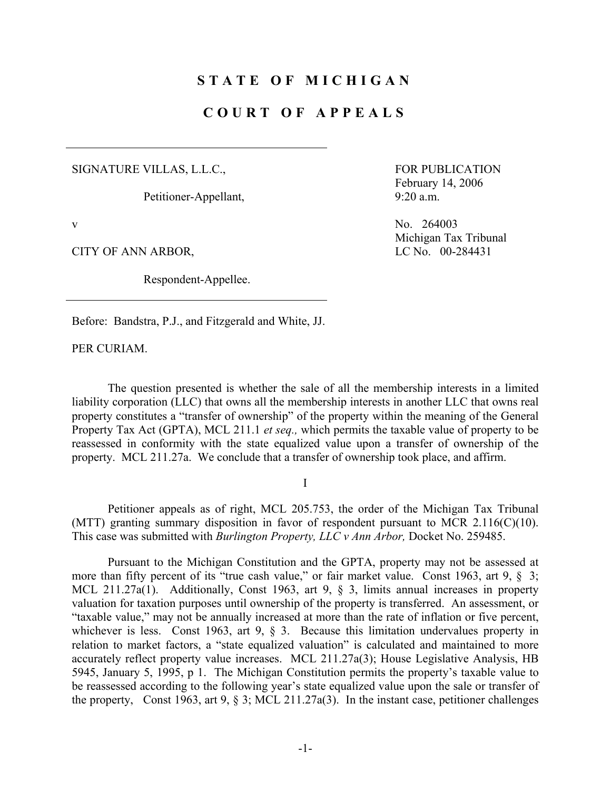## **STATE OF MICHIGAN**

# **COURT OF APPEALS**

SIGNATURE VILLAS, L.L.C.,

Petitioner-Appellant,

CITY OF ANN ARBOR, LC No. 00-284431

Respondent-Appellee.

 FOR PUBLICATION February 14, 2006 9:20 a.m.

v No. 264003 Michigan Tax Tribunal

Before: Bandstra, P.J., and Fitzgerald and White, JJ.

PER CURIAM.

 The question presented is whether the sale of all the membership interests in a limited liability corporation (LLC) that owns all the membership interests in another LLC that owns real property constitutes a "transfer of ownership" of the property within the meaning of the General Property Tax Act (GPTA), MCL 211.1 *et seq.,* which permits the taxable value of property to be reassessed in conformity with the state equalized value upon a transfer of ownership of the property. MCL 211.27a. We conclude that a transfer of ownership took place, and affirm.

I

 Petitioner appeals as of right, MCL 205.753, the order of the Michigan Tax Tribunal (MTT) granting summary disposition in favor of respondent pursuant to MCR 2.116(C)(10). This case was submitted with *Burlington Property, LLC v Ann Arbor,* Docket No. 259485.

 Pursuant to the Michigan Constitution and the GPTA, property may not be assessed at more than fifty percent of its "true cash value," or fair market value. Const 1963, art 9, § 3; MCL 211.27a(1). Additionally, Const 1963, art 9, § 3, limits annual increases in property valuation for taxation purposes until ownership of the property is transferred. An assessment, or "taxable value," may not be annually increased at more than the rate of inflation or five percent, whichever is less. Const 1963, art 9, § 3. Because this limitation undervalues property in relation to market factors, a "state equalized valuation" is calculated and maintained to more accurately reflect property value increases. MCL 211.27a(3); House Legislative Analysis, HB 5945, January 5, 1995, p 1. The Michigan Constitution permits the property's taxable value to be reassessed according to the following year's state equalized value upon the sale or transfer of the property, Const 1963, art 9, § 3; MCL 211.27a(3). In the instant case, petitioner challenges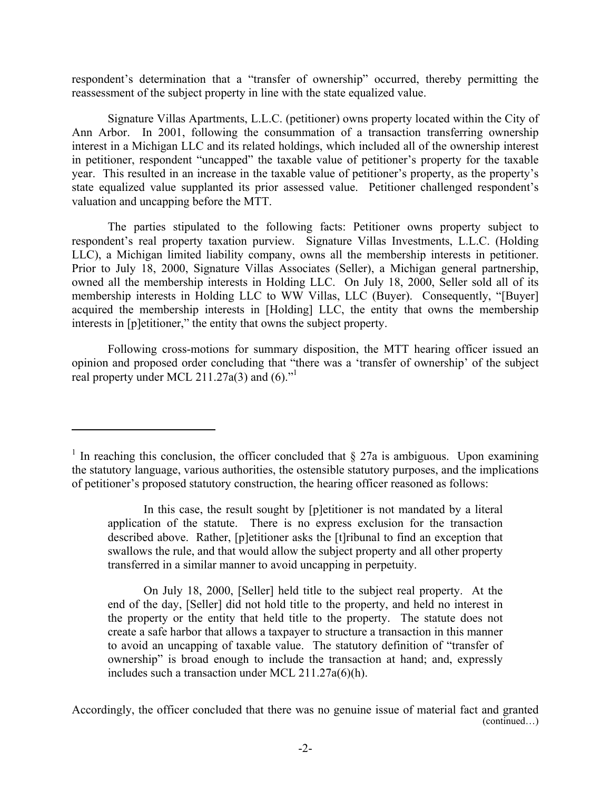respondent's determination that a "transfer of ownership" occurred, thereby permitting the reassessment of the subject property in line with the state equalized value.

 Signature Villas Apartments, L.L.C. (petitioner) owns property located within the City of Ann Arbor. In 2001, following the consummation of a transaction transferring ownership interest in a Michigan LLC and its related holdings, which included all of the ownership interest in petitioner, respondent "uncapped" the taxable value of petitioner's property for the taxable year. This resulted in an increase in the taxable value of petitioner's property, as the property's state equalized value supplanted its prior assessed value. Petitioner challenged respondent's valuation and uncapping before the MTT.

 The parties stipulated to the following facts: Petitioner owns property subject to respondent's real property taxation purview. Signature Villas Investments, L.L.C. (Holding LLC), a Michigan limited liability company, owns all the membership interests in petitioner. Prior to July 18, 2000, Signature Villas Associates (Seller), a Michigan general partnership, owned all the membership interests in Holding LLC. On July 18, 2000, Seller sold all of its membership interests in Holding LLC to WW Villas, LLC (Buyer). Consequently, "[Buyer] acquired the membership interests in [Holding] LLC, the entity that owns the membership interests in [p]etitioner," the entity that owns the subject property.

 Following cross-motions for summary disposition, the MTT hearing officer issued an opinion and proposed order concluding that "there was a 'transfer of ownership' of the subject real property under MCL 211.27a(3) and  $(6)$ ."

 $\overline{a}$ 

 On July 18, 2000, [Seller] held title to the subject real property. At the end of the day, [Seller] did not hold title to the property, and held no interest in the property or the entity that held title to the property. The statute does not create a safe harbor that allows a taxpayer to structure a transaction in this manner to avoid an uncapping of taxable value. The statutory definition of "transfer of ownership" is broad enough to include the transaction at hand; and, expressly includes such a transaction under MCL 211.27a(6)(h).

Accordingly, the officer concluded that there was no genuine issue of material fact and granted (continued…)

<sup>&</sup>lt;sup>1</sup> In reaching this conclusion, the officer concluded that  $\S$  27a is ambiguous. Upon examining the statutory language, various authorities, the ostensible statutory purposes, and the implications of petitioner's proposed statutory construction, the hearing officer reasoned as follows:

In this case, the result sought by [p]etitioner is not mandated by a literal application of the statute. There is no express exclusion for the transaction described above. Rather, [p]etitioner asks the [t]ribunal to find an exception that swallows the rule, and that would allow the subject property and all other property transferred in a similar manner to avoid uncapping in perpetuity.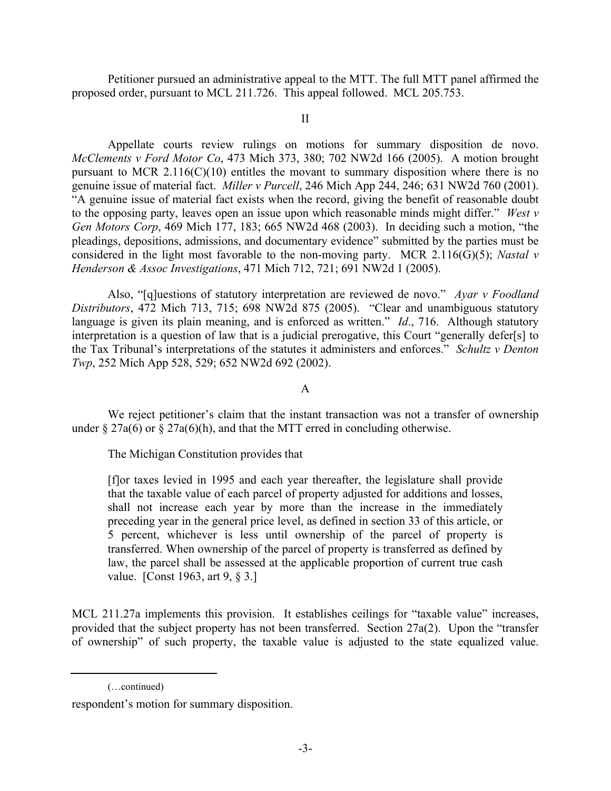Petitioner pursued an administrative appeal to the MTT. The full MTT panel affirmed the proposed order, pursuant to MCL 211.726. This appeal followed. MCL 205.753.

#### II

 Appellate courts review rulings on motions for summary disposition de novo. *McClements v Ford Motor Co*, 473 Mich 373, 380; 702 NW2d 166 (2005). A motion brought pursuant to MCR  $2.116(C)(10)$  entitles the movant to summary disposition where there is no genuine issue of material fact. *Miller v Purcell*, 246 Mich App 244, 246; 631 NW2d 760 (2001). "A genuine issue of material fact exists when the record, giving the benefit of reasonable doubt to the opposing party, leaves open an issue upon which reasonable minds might differ." *West v Gen Motors Corp*, 469 Mich 177, 183; 665 NW2d 468 (2003). In deciding such a motion, "the pleadings, depositions, admissions, and documentary evidence" submitted by the parties must be considered in the light most favorable to the non-moving party. MCR 2.116(G)(5); *Nastal v Henderson & Assoc Investigations*, 471 Mich 712, 721; 691 NW2d 1 (2005).

 Also, "[q]uestions of statutory interpretation are reviewed de novo." *Ayar v Foodland Distributors*, 472 Mich 713, 715; 698 NW2d 875 (2005). "Clear and unambiguous statutory language is given its plain meaning, and is enforced as written." *Id*., 716. Although statutory interpretation is a question of law that is a judicial prerogative, this Court "generally defer[s] to the Tax Tribunal's interpretations of the statutes it administers and enforces." *Schultz v Denton Twp*, 252 Mich App 528, 529; 652 NW2d 692 (2002).

### A

 We reject petitioner's claim that the instant transaction was not a transfer of ownership under  $\S 27a(6)$  or  $\S 27a(6)(h)$ , and that the MTT erred in concluding otherwise.

The Michigan Constitution provides that

[f]or taxes levied in 1995 and each year thereafter, the legislature shall provide that the taxable value of each parcel of property adjusted for additions and losses, shall not increase each year by more than the increase in the immediately preceding year in the general price level, as defined in section 33 of this article, or 5 percent, whichever is less until ownership of the parcel of property is transferred. When ownership of the parcel of property is transferred as defined by law, the parcel shall be assessed at the applicable proportion of current true cash value. [Const 1963, art 9, § 3.]

MCL 211.27a implements this provision. It establishes ceilings for "taxable value" increases, provided that the subject property has not been transferred. Section 27a(2). Upon the "transfer of ownership" of such property, the taxable value is adjusted to the state equalized value.

 <sup>(…</sup>continued)

respondent's motion for summary disposition.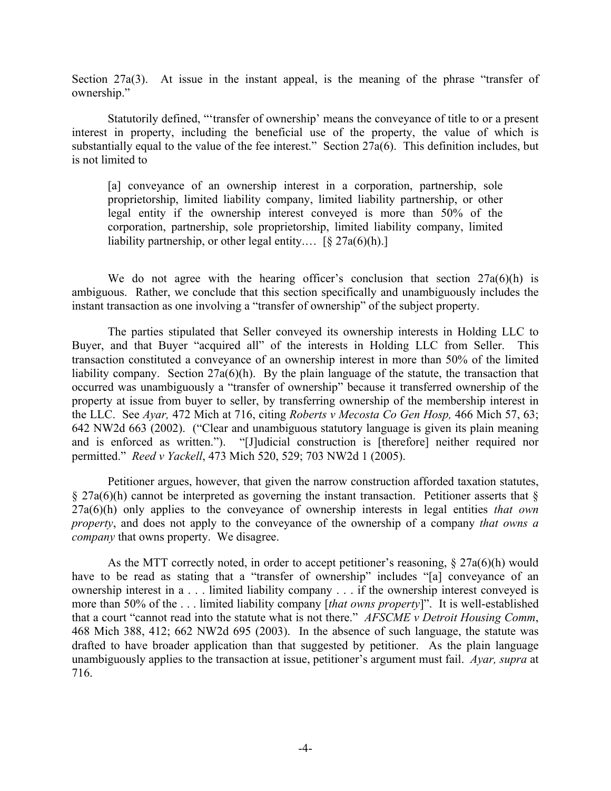Section 27a(3). At issue in the instant appeal, is the meaning of the phrase "transfer of ownership."

 Statutorily defined, "'transfer of ownership' means the conveyance of title to or a present interest in property, including the beneficial use of the property, the value of which is substantially equal to the value of the fee interest." Section 27a(6). This definition includes, but is not limited to

[a] conveyance of an ownership interest in a corporation, partnership, sole proprietorship, limited liability company, limited liability partnership, or other legal entity if the ownership interest conveyed is more than 50% of the corporation, partnership, sole proprietorship, limited liability company, limited liability partnership, or other legal entity....  $\lceil \frac{6}{5} \cdot 27a(6)(h) \cdot \rceil$ 

We do not agree with the hearing officer's conclusion that section  $27a(6)(h)$  is ambiguous. Rather, we conclude that this section specifically and unambiguously includes the instant transaction as one involving a "transfer of ownership" of the subject property.

 The parties stipulated that Seller conveyed its ownership interests in Holding LLC to Buyer, and that Buyer "acquired all" of the interests in Holding LLC from Seller. This transaction constituted a conveyance of an ownership interest in more than 50% of the limited liability company. Section 27a(6)(h). By the plain language of the statute, the transaction that occurred was unambiguously a "transfer of ownership" because it transferred ownership of the property at issue from buyer to seller, by transferring ownership of the membership interest in the LLC. See *Ayar,* 472 Mich at 716, citing *Roberts v Mecosta Co Gen Hosp,* 466 Mich 57, 63; 642 NW2d 663 (2002). ("Clear and unambiguous statutory language is given its plain meaning and is enforced as written."). "[J]udicial construction is [therefore] neither required nor permitted." *Reed v Yackell*, 473 Mich 520, 529; 703 NW2d 1 (2005).

 Petitioner argues, however, that given the narrow construction afforded taxation statutes,  $\S$  27a(6)(h) cannot be interpreted as governing the instant transaction. Petitioner asserts that  $\S$ 27a(6)(h) only applies to the conveyance of ownership interests in legal entities *that own property*, and does not apply to the conveyance of the ownership of a company *that owns a company* that owns property. We disagree.

 As the MTT correctly noted, in order to accept petitioner's reasoning, § 27a(6)(h) would have to be read as stating that a "transfer of ownership" includes "[a] conveyance of an ownership interest in a . . . limited liability company . . . if the ownership interest conveyed is more than 50% of the . . . limited liability company [*that owns property*]". It is well-established that a court "cannot read into the statute what is not there." *AFSCME v Detroit Housing Comm*, 468 Mich 388, 412; 662 NW2d 695 (2003). In the absence of such language, the statute was drafted to have broader application than that suggested by petitioner. As the plain language unambiguously applies to the transaction at issue, petitioner's argument must fail. *Ayar, supra* at 716.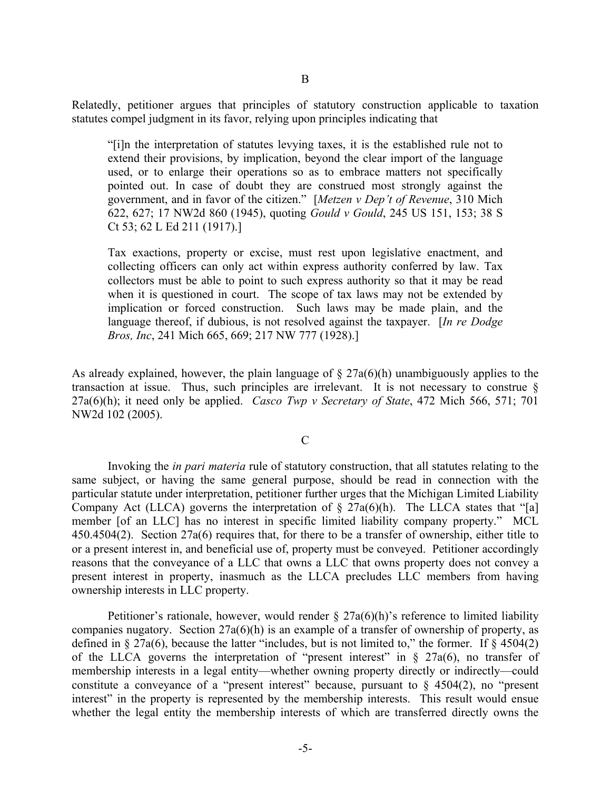Relatedly, petitioner argues that principles of statutory construction applicable to taxation statutes compel judgment in its favor, relying upon principles indicating that

"[i]n the interpretation of statutes levying taxes, it is the established rule not to extend their provisions, by implication, beyond the clear import of the language used, or to enlarge their operations so as to embrace matters not specifically pointed out. In case of doubt they are construed most strongly against the government, and in favor of the citizen." [*Metzen v Dep't of Revenue*, 310 Mich 622, 627; 17 NW2d 860 (1945), quoting *Gould v Gould*, 245 US 151, 153; 38 S Ct 53; 62 L Ed 211 (1917).]

Tax exactions, property or excise, must rest upon legislative enactment, and collecting officers can only act within express authority conferred by law. Tax collectors must be able to point to such express authority so that it may be read when it is questioned in court. The scope of tax laws may not be extended by implication or forced construction. Such laws may be made plain, and the language thereof, if dubious, is not resolved against the taxpayer. [*In re Dodge Bros, Inc*, 241 Mich 665, 669; 217 NW 777 (1928).]

As already explained, however, the plain language of § 27a(6)(h) unambiguously applies to the transaction at issue. Thus, such principles are irrelevant. It is not necessary to construe § 27a(6)(h); it need only be applied. *Casco Twp v Secretary of State*, 472 Mich 566, 571; 701 NW2d 102 (2005).

#### $\overline{C}$

 Invoking the *in pari materia* rule of statutory construction, that all statutes relating to the same subject, or having the same general purpose, should be read in connection with the particular statute under interpretation, petitioner further urges that the Michigan Limited Liability Company Act (LLCA) governs the interpretation of  $\S$  27a(6)(h). The LLCA states that "[a] member [of an LLC] has no interest in specific limited liability company property." MCL 450.4504(2). Section 27a(6) requires that, for there to be a transfer of ownership, either title to or a present interest in, and beneficial use of, property must be conveyed. Petitioner accordingly reasons that the conveyance of a LLC that owns a LLC that owns property does not convey a present interest in property, inasmuch as the LLCA precludes LLC members from having ownership interests in LLC property.

Petitioner's rationale, however, would render  $\S$  27a(6)(h)'s reference to limited liability companies nugatory. Section 27a(6)(h) is an example of a transfer of ownership of property, as defined in  $\S 27a(6)$ , because the latter "includes, but is not limited to," the former. If  $\S 4504(2)$ of the LLCA governs the interpretation of "present interest" in  $\S$  27a(6), no transfer of membership interests in a legal entity—whether owning property directly or indirectly—could constitute a conveyance of a "present interest" because, pursuant to  $\S$  4504(2), no "present interest" in the property is represented by the membership interests. This result would ensue whether the legal entity the membership interests of which are transferred directly owns the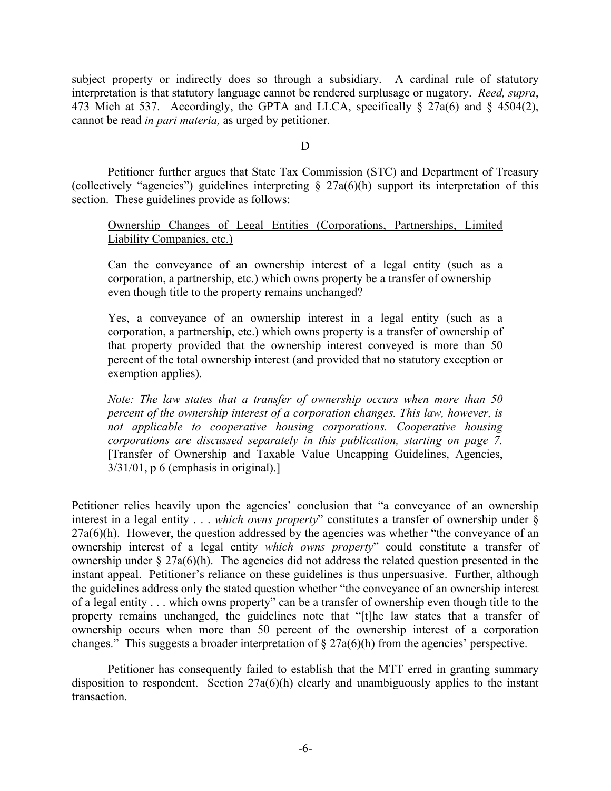subject property or indirectly does so through a subsidiary. A cardinal rule of statutory interpretation is that statutory language cannot be rendered surplusage or nugatory. *Reed, supra*, 473 Mich at 537. Accordingly, the GPTA and LLCA, specifically § 27a(6) and § 4504(2), cannot be read *in pari materia,* as urged by petitioner.

### D<sub>1</sub>

 Petitioner further argues that State Tax Commission (STC) and Department of Treasury (collectively "agencies") guidelines interpreting  $\S$  27a(6)(h) support its interpretation of this section. These guidelines provide as follows:

## Ownership Changes of Legal Entities (Corporations, Partnerships, Limited Liability Companies, etc.)

Can the conveyance of an ownership interest of a legal entity (such as a corporation, a partnership, etc.) which owns property be a transfer of ownership even though title to the property remains unchanged?

Yes, a conveyance of an ownership interest in a legal entity (such as a corporation, a partnership, etc.) which owns property is a transfer of ownership of that property provided that the ownership interest conveyed is more than 50 percent of the total ownership interest (and provided that no statutory exception or exemption applies).

*Note: The law states that a transfer of ownership occurs when more than 50 percent of the ownership interest of a corporation changes. This law, however, is not applicable to cooperative housing corporations. Cooperative housing corporations are discussed separately in this publication, starting on page 7.* [Transfer of Ownership and Taxable Value Uncapping Guidelines, Agencies,  $3/31/01$ , p 6 (emphasis in original).]

Petitioner relies heavily upon the agencies' conclusion that "a conveyance of an ownership interest in a legal entity . . . *which owns property*" constitutes a transfer of ownership under §  $27a(6)$ (h). However, the question addressed by the agencies was whether "the conveyance of an ownership interest of a legal entity *which owns property*" could constitute a transfer of ownership under  $\S 27a(6)$ (h). The agencies did not address the related question presented in the instant appeal. Petitioner's reliance on these guidelines is thus unpersuasive. Further, although the guidelines address only the stated question whether "the conveyance of an ownership interest of a legal entity . . . which owns property" can be a transfer of ownership even though title to the property remains unchanged, the guidelines note that "[t]he law states that a transfer of ownership occurs when more than 50 percent of the ownership interest of a corporation changes." This suggests a broader interpretation of  $\S 27a(6)(h)$  from the agencies' perspective.

 Petitioner has consequently failed to establish that the MTT erred in granting summary disposition to respondent. Section  $27a(6)(h)$  clearly and unambiguously applies to the instant transaction.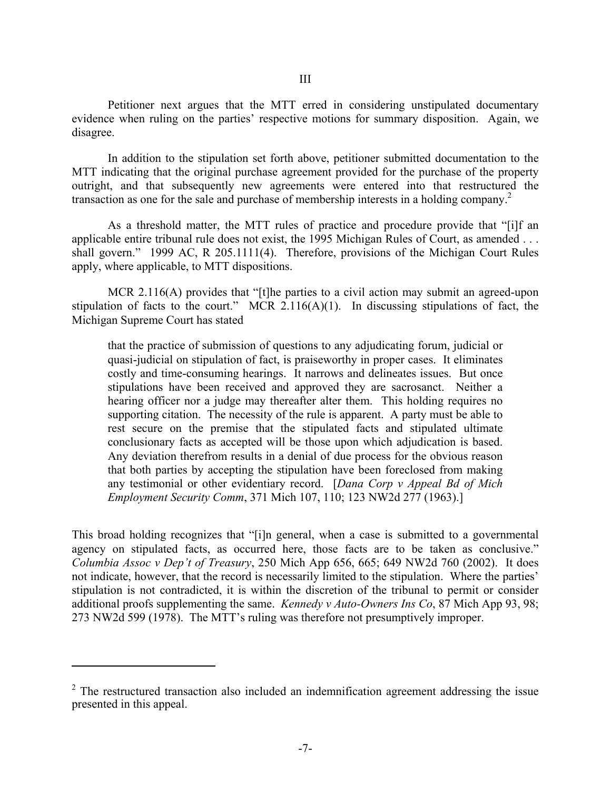Petitioner next argues that the MTT erred in considering unstipulated documentary evidence when ruling on the parties' respective motions for summary disposition. Again, we disagree.

 In addition to the stipulation set forth above, petitioner submitted documentation to the MTT indicating that the original purchase agreement provided for the purchase of the property outright, and that subsequently new agreements were entered into that restructured the transaction as one for the sale and purchase of membership interests in a holding company.<sup>2</sup>

 As a threshold matter, the MTT rules of practice and procedure provide that "[i]f an applicable entire tribunal rule does not exist, the 1995 Michigan Rules of Court, as amended . . . shall govern." 1999 AC, R 205.1111(4). Therefore, provisions of the Michigan Court Rules apply, where applicable, to MTT dispositions.

MCR 2.116(A) provides that "[t]he parties to a civil action may submit an agreed-upon stipulation of facts to the court." MCR  $2.116(A)(1)$ . In discussing stipulations of fact, the Michigan Supreme Court has stated

that the practice of submission of questions to any adjudicating forum, judicial or quasi-judicial on stipulation of fact, is praiseworthy in proper cases. It eliminates costly and time-consuming hearings. It narrows and delineates issues. But once stipulations have been received and approved they are sacrosanct. Neither a hearing officer nor a judge may thereafter alter them. This holding requires no supporting citation. The necessity of the rule is apparent. A party must be able to rest secure on the premise that the stipulated facts and stipulated ultimate conclusionary facts as accepted will be those upon which adjudication is based. Any deviation therefrom results in a denial of due process for the obvious reason that both parties by accepting the stipulation have been foreclosed from making any testimonial or other evidentiary record. [*Dana Corp v Appeal Bd of Mich Employment Security Comm*, 371 Mich 107, 110; 123 NW2d 277 (1963).]

This broad holding recognizes that "[i]n general, when a case is submitted to a governmental agency on stipulated facts, as occurred here, those facts are to be taken as conclusive." *Columbia Assoc v Dep't of Treasury*, 250 Mich App 656, 665; 649 NW2d 760 (2002). It does not indicate, however, that the record is necessarily limited to the stipulation. Where the parties' stipulation is not contradicted, it is within the discretion of the tribunal to permit or consider additional proofs supplementing the same. *Kennedy v Auto-Owners Ins Co*, 87 Mich App 93, 98; 273 NW2d 599 (1978). The MTT's ruling was therefore not presumptively improper.

<u>.</u>

 $2$  The restructured transaction also included an indemnification agreement addressing the issue presented in this appeal.